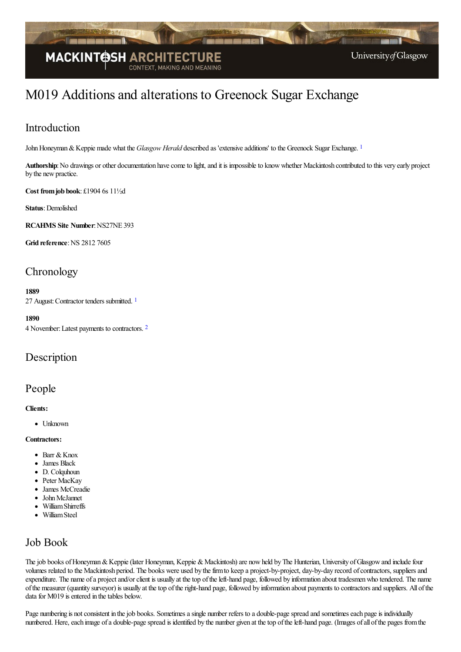

# M019 Additions and alterations to Greenock Sugar Exchange

### Introduction

John Honeyman & Keppie made what the *Glasgow Herald* described as 'extensive additions' to the Greenock Sugar Exchange.<sup>[1](#page-3-0)</sup>

<span id="page-0-0"></span>Authorship: No drawings or other documentation have come to light, and it is impossible to know whether Mackintosh contributed to this very early project by the new practice.

**Cost fromjob book**: £1904 6s 11½d

**Status**: Demolished

**RCAHMS** Site Number: NS27NE 393

**Grid reference: NS 2812 7605** 

# **Chronology**

#### <span id="page-0-1"></span>**1889**

27 August: Contractor tenders submitted. [1](#page-3-1)

<span id="page-0-2"></span>**1890** 4 November:Latest payments to contractors. [2](#page-3-2)

### Description

### People

#### **Clients:**

• Unknown

**Contractors:**

- $\bullet$  Barr & Knox
- James Black
- D. Colquhoun
- Peter MacKay
- James McCreadie
- John McJannet
- WilliamShirreffs
- WilliamSteel

### Job Book

The job books of Honeyman & Keppie (later Honeyman, Keppie & Mackintosh) are now held by The Hunterian, University of Glasgow and include four volumes related to the Mackintosh period. The books were used by the firm to keep a project-by-project, day-by-day record of contractors, suppliers and expenditure. The name of a project and/or client is usually at the top of the left-hand page, followed by information about tradesmen who tendered. The name ofthe measurer (quantity surveyor) is usually at thetop oftheright-hand page, followed by information about payments to contractorsand suppliers. All ofthe data for M019 is entered in the tables below.

Page numbering is not consistent in the job books. Sometimes a single number refers to a double-page spread and sometimes each page is individually numbered. Here, each image of a double-page spread is identified by the number given at the top of the left-hand page. (Images of all of the pages from the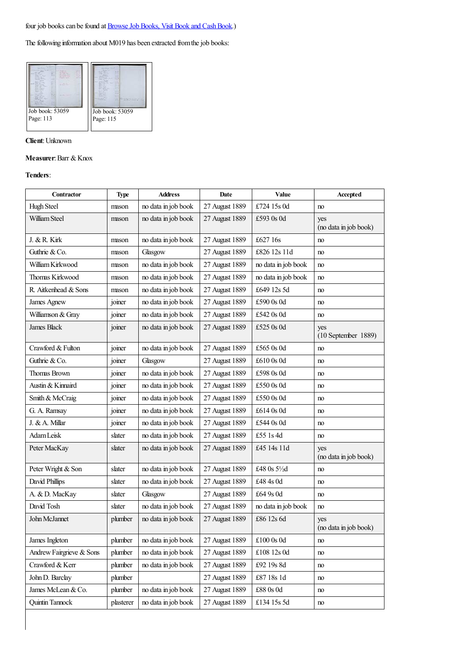The following information about M019 has been extracted from the job books:



#### **Client**: Unknown

#### **Measurer**: Barr & Knox

#### **Tenders**:

| Contractor               | <b>Type</b> | <b>Address</b>      | Date           | Value               | Accepted                     |
|--------------------------|-------------|---------------------|----------------|---------------------|------------------------------|
| Hugh Steel               | mason       | no data in job book | 27 August 1889 | £724 15s 0d         | no                           |
| William Steel            | mason       | no data in job book | 27 August 1889 | £593 0s 0d          | yes<br>(no data in job book) |
| J. & R. Kirk             | mason       | no data in job book | 27 August 1889 | £627 16s            | no                           |
| Guthrie & Co.            | mason       | Glasgow             | 27 August 1889 | £826 12s 11d        | no                           |
| William Kirkwood         | mason       | no data in job book | 27 August 1889 | no data in job book | no                           |
| Thomas Kirkwood          | mason       | no data in job book | 27 August 1889 | no data in job book | no                           |
| R. Aitkenhead & Sons     | mason       | no data in job book | 27 August 1889 | £649 12s 5d         | no                           |
| James Agnew              | joiner      | no data in job book | 27 August 1889 | £590 0s 0d          | no                           |
| Williamson & Gray        | joiner      | no data in job book | 27 August 1889 | £542 0s 0d          | no                           |
| <b>James Black</b>       | joiner      | no data in job book | 27 August 1889 | £525 0s 0d          | yes<br>$(10$ September 1889) |
| Crawford & Fulton        | joiner      | no data in job book | 27 August 1889 | £565 0s 0d          | no                           |
| Guthrie & Co.            | joiner      | Glasgow             | 27 August 1889 | £610 0s 0d          | no                           |
| <b>Thomas Brown</b>      | joiner      | no data in job book | 27 August 1889 | £598 0s 0d          | no                           |
| Austin & Kinnaird        | joiner      | no data in job book | 27 August 1889 | £550 0s 0d          | no                           |
| Smith & McCraig          | joiner      | no data in job book | 27 August 1889 | £550 0s 0d          | no                           |
| G. A. Ramsay             | joiner      | no data in job book | 27 August 1889 | £614 0s 0d          | no                           |
| J. & A. Millar           | joiner      | no data in job book | 27 August 1889 | £544 0s 0d          | no                           |
| Adam Leisk               | slater      | no data in job book | 27 August 1889 | £55 1s 4d           | no                           |
| Peter MacKay             | slater      | no data in job book | 27 August 1889 | £45 14s 11d         | yes<br>(no data in job book) |
| Peter Wright & Son       | slater      | no data in job book | 27 August 1889 | £48 0s 51/2d        | no                           |
| David Phillips           | slater      | no data in job book | 27 August 1889 | £48 4s 0d           | no                           |
| A. & D. MacKay           | slater      | Glasgow             | 27 August 1889 | £64 9s 0d           | no                           |
| David Tosh               | slater      | no data in job book | 27 August 1889 | no data in job book | no                           |
| John McJannet            | plumber     | no data in job book | 27 August 1889 | £86 12s 6d          | yes<br>(no data in job book) |
| James Ingleton           | plumber     | no data in job book | 27 August 1889 | $\pounds100$ 0s Od  | no                           |
| Andrew Fairgrieve & Sons | plumber     | no data in job book | 27 August 1889 | £108 12s 0d         | no                           |
| Crawford & Kerr          | plumber     | no data in job book | 27 August 1889 | £92 19s 8d          | no                           |
| John D. Barclay          | plumber     |                     | 27 August 1889 | £87 18s 1d          | no                           |
| James McLean & Co.       | plumber     | no data in job book | 27 August 1889 | £88 0s 0d           | no                           |
| Quintin Tannock          | plasterer   | no data in job book | 27 August 1889 | £134 15s 5d         | no                           |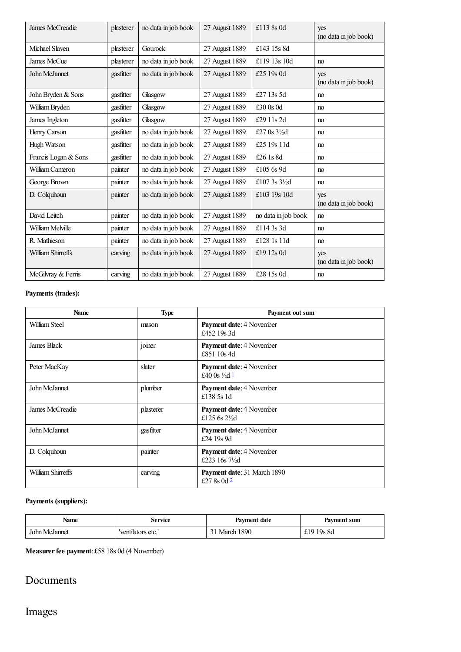| James McCreadie      | plasterer | no data in job book | 27 August 1889 | £113 8s 0d             | yes<br>(no data in job book) |
|----------------------|-----------|---------------------|----------------|------------------------|------------------------------|
| Michael Slaven       | plasterer | Gourock             | 27 August 1889 | £143 15s 8d            |                              |
| James McCue          | plasterer | no data in job book | 27 August 1889 | £119 13s 10d           | no                           |
| John McJannet        | gasfitter | no data in job book | 27 August 1889 | £25 19s 0d             | yes<br>(no data in job book) |
| John Bryden & Sons   | gasfitter | Glasgow             | 27 August 1889 | £27 13s 5d             | no                           |
| William Bryden       | gasfitter | Glasgow             | 27 August 1889 | £30 $0s$ 0d            | no                           |
| James Ingleton       | gasfitter | Glasgow             | 27 August 1889 | £29 11s 2d             | no                           |
| Henry Carson         | gasfitter | no data in job book | 27 August 1889 | £27 0s $3\frac{1}{2}d$ | no                           |
| Hugh Watson          | gasfitter | no data in job book | 27 August 1889 | £25 19s 11d            | no                           |
| Francis Logan & Sons | gasfitter | no data in job book | 27 August 1889 | £26 1s 8d              | no                           |
| William Cameron      | painter   | no data in job book | 27 August 1889 | £105 6s 9d             | no                           |
| George Brown         | painter   | no data in job book | 27 August 1889 | £107 3s 31/2d          | no                           |
| D. Colquhoun         | painter   | no data in job book | 27 August 1889 | £103 19s 10d           | yes<br>(no data in job book) |
| David Leitch         | painter   | no data in job book | 27 August 1889 | no data in job book    | no                           |
| William Melville     | painter   | no data in job book | 27 August 1889 | £114 3s 3d             | no                           |
| R. Mathieson         | painter   | no data in job book | 27 August 1889 | £128 1s 11d            | no                           |
| William Shirreffs    | carving   | no data in job book | 27 August 1889 | £19 12s 0d             | yes<br>(no data in job book) |
| McGilvray & Ferris   | carving   | no data in job book | 27 August 1889 | £28 15s 0d             | no                           |

### **Payments (trades):**

<span id="page-2-0"></span>

| <b>Name</b>       | <b>Type</b> | Payment out sum                                       |  |
|-------------------|-------------|-------------------------------------------------------|--|
| William Steel     | mason       | <b>Payment date: 4 November</b><br>£452 19s 3d        |  |
| James Black       | joiner      | Payment date: 4 November<br>£851 10s 4d               |  |
| Peter MacKay      | slater      | Payment date: 4 November<br>£40 0s $\frac{1}{2}d$ 1   |  |
| John McJannet     | plumber     | Payment date: 4 November<br>£138 5s 1d                |  |
| James McCreadie   | plasterer   | Payment date: 4 November<br>£125 6s $2\frac{1}{2}$ d  |  |
| John McJannet     | gasfitter   | Payment date: 4 November<br>£24 19s 9d                |  |
| D. Colquhoun      | painter     | Payment date: 4 November<br>£223 16s $7\frac{1}{2}$ d |  |
| William Shirreffs | carving     | Payment date: 31 March 1890<br>£27 8s 0d $2$          |  |

#### <span id="page-2-1"></span>**Payments (suppliers):**

| <b>Name</b>   | Service           | <b>Payment date</b> | Payment sum     |
|---------------|-------------------|---------------------|-----------------|
| John McJannet | 'ventilators etc. | 1890<br>March       | 19s 8d<br>ا سان |

**Measurerfee payment**: £58 18s 0d (4 November)

## Documents

# Images